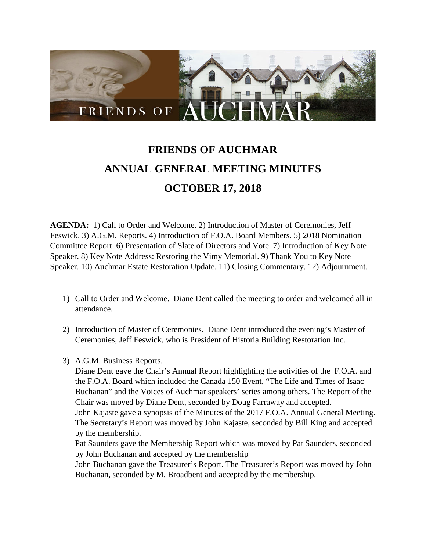

## **FRIENDS OF AUCHMAR ANNUAL GENERAL MEETING MINUTES OCTOBER 17, 2018**

**AGENDA:** 1) Call to Order and Welcome. 2) Introduction of Master of Ceremonies, Jeff Feswick. 3) A.G.M. Reports. 4) Introduction of F.O.A. Board Members. 5) 2018 Nomination Committee Report. 6) Presentation of Slate of Directors and Vote. 7) Introduction of Key Note Speaker. 8) Key Note Address: Restoring the Vimy Memorial. 9) Thank You to Key Note Speaker. 10) Auchmar Estate Restoration Update. 11) Closing Commentary. 12) Adjournment.

- 1) Call to Order and Welcome. Diane Dent called the meeting to order and welcomed all in attendance.
- 2) Introduction of Master of Ceremonies. Diane Dent introduced the evening's Master of Ceremonies, Jeff Feswick, who is President of Historia Building Restoration Inc.
- 3) A.G.M. Business Reports.

Diane Dent gave the Chair's Annual Report highlighting the activities of the F.O.A. and the F.O.A. Board which included the Canada 150 Event, "The Life and Times of Isaac Buchanan" and the Voices of Auchmar speakers' series among others. The Report of the Chair was moved by Diane Dent, seconded by Doug Farraway and accepted.

John Kajaste gave a synopsis of the Minutes of the 2017 F.O.A. Annual General Meeting. The Secretary's Report was moved by John Kajaste, seconded by Bill King and accepted by the membership.

Pat Saunders gave the Membership Report which was moved by Pat Saunders, seconded by John Buchanan and accepted by the membership

John Buchanan gave the Treasurer's Report. The Treasurer's Report was moved by John Buchanan, seconded by M. Broadbent and accepted by the membership.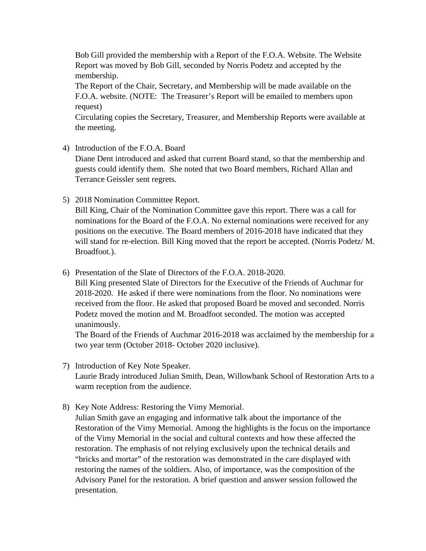Bob Gill provided the membership with a Report of the F.O.A. Website. The Website Report was moved by Bob Gill, seconded by Norris Podetz and accepted by the membership.

The Report of the Chair, Secretary, and Membership will be made available on the F.O.A. website. (NOTE: The Treasurer's Report will be emailed to members upon request)

Circulating copies the Secretary, Treasurer, and Membership Reports were available at the meeting.

4) Introduction of the F.O.A. Board

Diane Dent introduced and asked that current Board stand, so that the membership and guests could identify them. She noted that two Board members, Richard Allan and Terrance Geissler sent regrets.

5) 2018 Nomination Committee Report.

Bill King, Chair of the Nomination Committee gave this report. There was a call for nominations for the Board of the F.O.A. No external nominations were received for any positions on the executive. The Board members of 2016-2018 have indicated that they will stand for re-election. Bill King moved that the report be accepted. (Norris Podetz/ M. Broadfoot.).

6) Presentation of the Slate of Directors of the F.O.A. 2018-2020.

Bill King presented Slate of Directors for the Executive of the Friends of Auchmar for 2018-2020. He asked if there were nominations from the floor. No nominations were received from the floor. He asked that proposed Board be moved and seconded. Norris Podetz moved the motion and M. Broadfoot seconded. The motion was accepted unanimously.

The Board of the Friends of Auchmar 2016-2018 was acclaimed by the membership for a two year term (October 2018- October 2020 inclusive).

- 7) Introduction of Key Note Speaker. Laurie Brady introduced Julian Smith, Dean, Willowbank School of Restoration Arts to a warm reception from the audience.
- 8) Key Note Address: Restoring the Vimy Memorial.

Julian Smith gave an engaging and informative talk about the importance of the Restoration of the Vimy Memorial. Among the highlights is the focus on the importance of the Vimy Memorial in the social and cultural contexts and how these affected the restoration. The emphasis of not relying exclusively upon the technical details and "bricks and mortar" of the restoration was demonstrated in the care displayed with restoring the names of the soldiers. Also, of importance, was the composition of the Advisory Panel for the restoration. A brief question and answer session followed the presentation.